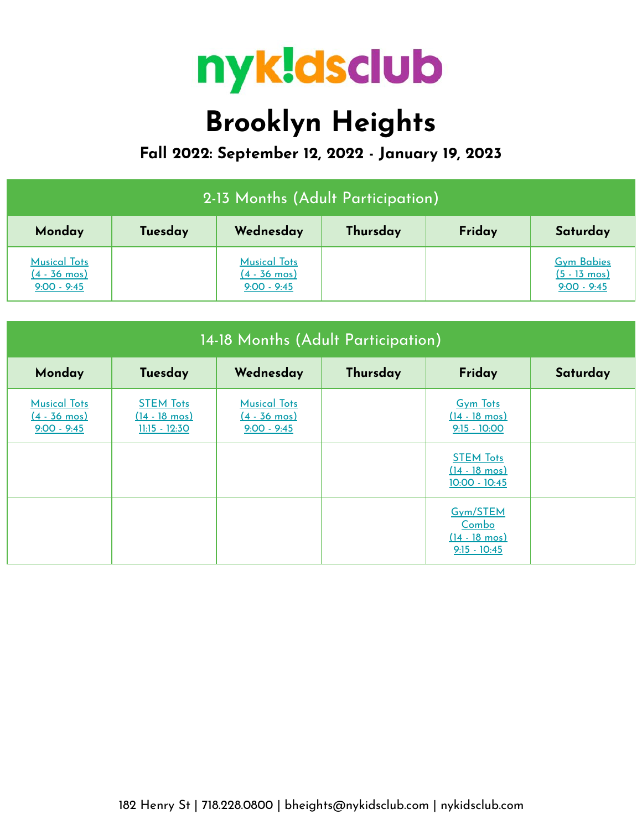

## **Brooklyn Heights**

**Fall 2022: September 12, 2022 - January 19, 2023**

| 2-13 Months (Adult Participation)                              |         |                                                                |          |        |                                                              |  |  |
|----------------------------------------------------------------|---------|----------------------------------------------------------------|----------|--------|--------------------------------------------------------------|--|--|
| Monday                                                         | Tuesday | Wednesday                                                      | Thursday | Friday | Saturday                                                     |  |  |
| <b>Musical Tots</b><br>$(4 - 36 \text{ mos})$<br>$9:00 - 9:45$ |         | <b>Musical Tots</b><br>$(4 - 36 \text{ mos})$<br>$9:00 - 9:45$ |          |        | <b>Gym Babies</b><br>$(5 - 13 \text{ mos})$<br>$9:00 - 9:45$ |  |  |

| 14-18 Months (Adult Participation)                             |                                                                |                                                                |          |                                                                |          |  |
|----------------------------------------------------------------|----------------------------------------------------------------|----------------------------------------------------------------|----------|----------------------------------------------------------------|----------|--|
| Monday                                                         | Tuesday                                                        | Wednesday                                                      | Thursday | Friday                                                         | Saturday |  |
| <b>Musical Tots</b><br>$(4 - 36 \text{ mos})$<br>$9:00 - 9:45$ | <b>STEM Tots</b><br>$(14 - 18 \text{ mos})$<br>$11:15 - 12:30$ | <b>Musical Tots</b><br>$(4 - 36 \text{ mos})$<br>$9:00 - 9:45$ |          | <b>Gym Tots</b><br>$(14 - 18 \text{ mos})$<br>$9:15 - 10:00$   |          |  |
|                                                                |                                                                |                                                                |          | <b>STEM Tots</b><br>$(14 - 18 \text{ mos})$<br>$10:00 - 10:45$ |          |  |
|                                                                |                                                                |                                                                |          | Gym/STEM<br>Combo<br>$(14 - 18 \text{ mos})$<br>$9:15 - 10:45$ |          |  |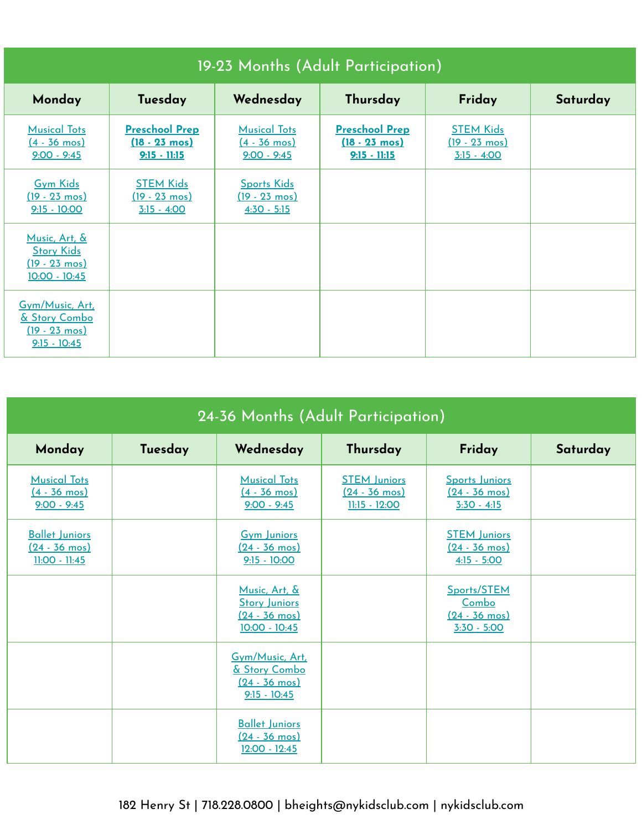| 19-23 Months (Adult Participation)                                             |                                                                    |                                                                |                                                                    |                                                              |          |  |
|--------------------------------------------------------------------------------|--------------------------------------------------------------------|----------------------------------------------------------------|--------------------------------------------------------------------|--------------------------------------------------------------|----------|--|
| Monday                                                                         | Tuesday                                                            | Wednesday                                                      | Thursday                                                           | Friday                                                       | Saturday |  |
| <b>Musical Tots</b><br>$(4 - 36 \text{ mos})$<br>$9:00 - 9:45$                 | <b>Preschool Prep</b><br>$(18 - 23 \text{ mos})$<br>$9:15 - 11:15$ | <b>Musical Tots</b><br>$(4 - 36 \text{ mos})$<br>$9:00 - 9:45$ | <b>Preschool Prep</b><br>$(18 - 23 \text{ mos})$<br>$9:15 - 11:15$ | <b>STEM Kids</b><br>$(19 - 23 \text{ mos})$<br>$3:15 - 4:00$ |          |  |
| <b>Gym Kids</b><br>$(19 - 23 \text{ mos})$<br>$9:15 - 10:00$                   | <b>STEM Kids</b><br>$(19 - 23 \text{ mos})$<br>$3:15 - 4:00$       | <b>Sports Kids</b><br>$(19 - 23 \text{ mos})$<br>$4:30 - 5:15$ |                                                                    |                                                              |          |  |
| Music, Art, &<br><b>Story Kids</b><br>$(19 - 23 \text{ mos})$<br>10:00 - 10:45 |                                                                    |                                                                |                                                                    |                                                              |          |  |
| Gym/Music, Art,<br>& Story Combo<br>$(19 - 23 \text{ mos})$<br>$9:15 - 10:45$  |                                                                    |                                                                |                                                                    |                                                              |          |  |

| 24-36 Months (Adult Participation)                                |         |                                                                                     |                                                                   |                                                                  |          |  |  |
|-------------------------------------------------------------------|---------|-------------------------------------------------------------------------------------|-------------------------------------------------------------------|------------------------------------------------------------------|----------|--|--|
| Monday                                                            | Tuesday | Wednesday                                                                           | Thursday                                                          | Friday                                                           | Saturday |  |  |
| <b>Musical Tots</b><br>$(4 - 36 \text{ mos})$<br>$9:00 - 9:45$    |         | <b>Musical Tots</b><br>$(4 - 36 \text{ mos})$<br>$9:00 - 9:45$                      | <b>STEM Juniors</b><br>$(24 - 36 \text{ mos})$<br>$11:15 - 12:00$ | Sports Juniors<br>$(24 - 36 \text{ mos})$<br>$3:30 - 4:15$       |          |  |  |
| <b>Ballet Juniors</b><br>$(24 - 36 \text{ mos})$<br>11:00 - 11:45 |         | <b>Gym Juniors</b><br>$(24 - 36 \text{ mos})$<br>$9:15 - 10:00$                     |                                                                   | <b>STEM Juniors</b><br>$(24 - 36 \text{ mos})$<br>$4:15 - 5:00$  |          |  |  |
|                                                                   |         | Music, Art, &<br><b>Story Juniors</b><br>$(24 - 36 \text{ mos})$<br>$10:00 - 10:45$ |                                                                   | Sports/STEM<br>Combo<br>$(24 - 36 \text{ mos})$<br>$3:30 - 5:00$ |          |  |  |
|                                                                   |         | Gym/Music, Art.<br>& Story Combo<br>$(24 - 36 \text{ mos})$<br>$9:15 - 10:45$       |                                                                   |                                                                  |          |  |  |
|                                                                   |         | <b>Ballet Juniors</b><br><u>(24 - 36 mos)</u><br>12:00 - 12:45                      |                                                                   |                                                                  |          |  |  |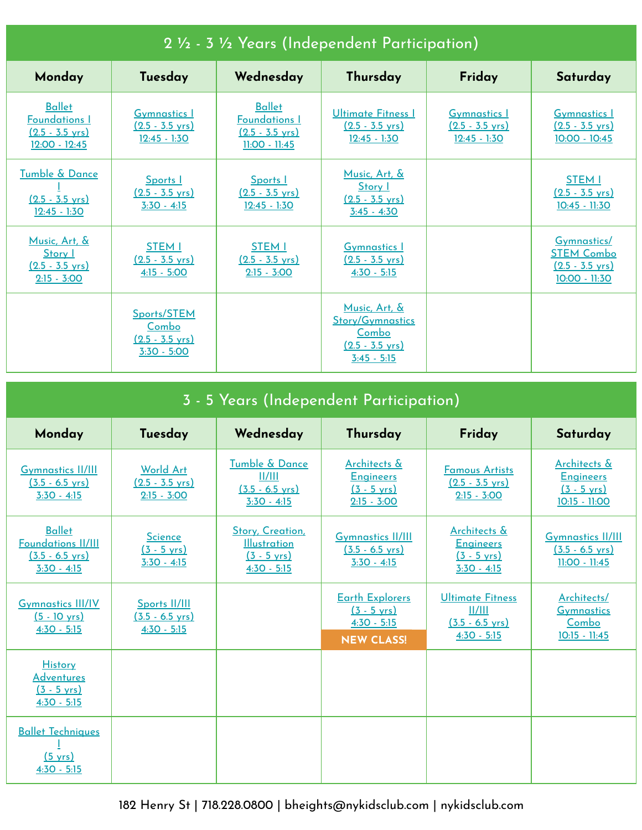| 2 1/2 - 3 1/2 Years (Independent Participation)                                     |                                                                    |                                                                                       |                                                                                                 |                                                                    |                                                                                |  |
|-------------------------------------------------------------------------------------|--------------------------------------------------------------------|---------------------------------------------------------------------------------------|-------------------------------------------------------------------------------------------------|--------------------------------------------------------------------|--------------------------------------------------------------------------------|--|
| Monday                                                                              | Tuesday                                                            | Wednesday                                                                             | Thursday                                                                                        | Friday                                                             | Saturday                                                                       |  |
| <b>Ballet</b><br><b>Foundations I</b><br>$(2.5 - 3.5 \text{ yrs})$<br>12:00 - 12:45 | <b>Gymnastics 1</b><br>$(2.5 - 3.5 \text{ yrs})$<br>$12:45 - 1:30$ | <b>Ballet</b><br><b>Foundations I</b><br>$(2.5 - 3.5 \text{ yrs})$<br>$11:00 - 11:45$ | Ultimate Fitness I<br>$(2.5 - 3.5 \text{ yrs})$<br>$12:45 - 1:30$                               | <b>Gymnastics 1</b><br>$(2.5 - 3.5 \text{ yrs})$<br>$12:45 - 1:30$ | <b>Gymnastics 1</b><br>$(2.5 - 3.5 \text{ yrs})$<br>10:00 - 10:45              |  |
| Tumble & Dance<br>$(2.5 - 3.5 \text{ yrs})$<br>$12:45 - 1:30$                       | Sports I<br>$(2.5 - 3.5 \text{ yrs})$<br>$3:30 - 4:15$             | Sports I<br>$(2.5 - 3.5 \text{ yrs})$<br>$12:45 - 1:30$                               | Music, Art, &<br>Story I<br>$(2.5 - 3.5 \text{ yrs})$<br>$3:45 - 4:30$                          |                                                                    | <b>STEM I</b><br>$(2.5 - 3.5 \text{ yrs})$<br>10:45 - 11:30                    |  |
| Music, Art, &<br>Story 1<br>$(2.5 - 3.5 \text{ yrs})$<br>$2:15 - 3:00$              | <b>STEM I</b><br>$(2.5 - 3.5 \text{ vrs})$<br>$4:15 - 5:00$        | <b>STEM I</b><br>$(2.5 - 3.5 \text{ vrs})$<br>$2:15 - 3:00$                           | <b>Gymnastics</b> 1<br>$(2.5 - 3.5 \text{ vrs})$<br>$4:30 - 5:15$                               |                                                                    | Gymnastics/<br><b>STEM Combo</b><br>$(2.5 - 3.5 \text{ vrs})$<br>10:00 - 11:30 |  |
|                                                                                     | Sports/STEM<br>Combo<br>$(2.5 - 3.5 \text{ vrs})$<br>$3:30 - 5:00$ |                                                                                       | Music, Art, &<br><b>Story/Gymnastics</b><br>Combo<br>$(2.5 - 3.5 \text{ vrs})$<br>$3:45 - 5:15$ |                                                                    |                                                                                |  |

| 3 - 5 Years (Independent Participation)                                                  |                                                                |                                                                                   |                                                                                       |                                                                                 |                                                                            |  |
|------------------------------------------------------------------------------------------|----------------------------------------------------------------|-----------------------------------------------------------------------------------|---------------------------------------------------------------------------------------|---------------------------------------------------------------------------------|----------------------------------------------------------------------------|--|
| Monday                                                                                   | Tuesday                                                        | Wednesday                                                                         | Thursday                                                                              | Friday                                                                          | Saturday                                                                   |  |
| <b>Gymnastics II/III</b><br>$(3.5 - 6.5 \text{ yrs})$<br>$3:30 - 4:15$                   | <b>World Art</b><br>$(2.5 - 3.5 \text{ yrs})$<br>$2:15 - 3:00$ | <b>Tumble &amp; Dance</b><br>11/111<br>$(3.5 - 6.5 \text{ yrs})$<br>$3:30 - 4:15$ | Architects &<br><b>Engineers</b><br>$(3 - 5 \text{ yrs})$<br>$2:15 - 3:00$            | <b>Famous Artists</b><br>$(2.5 - 3.5 \text{ yrs})$<br>$2:15 - 3:00$             | Architects &<br><b>Engineers</b><br>$(3 - 5 \text{ yrs})$<br>10:15 - 11:00 |  |
| <b>Ballet</b><br><b>Foundations II/III</b><br>$(3.5 - 6.5 \text{ yrs})$<br>$3:30 - 4:15$ | <b>Science</b><br>$(3 - 5 \text{ yrs})$<br>$3:30 - 4:15$       | Story, Creation,<br><b>Illustration</b><br>$(3 - 5 \text{ yrs})$<br>$4:30 - 5:15$ | <b>Gymnastics II/III</b><br>$(3.5 - 6.5 \text{ yrs})$<br>$3:30 - 4:15$                | Architects &<br><b>Engineers</b><br>$(3 - 5 \text{ yrs})$<br>$3:30 - 4:15$      | <b>Gymnastics II/III</b><br>$(3.5 - 6.5 \text{ yrs})$<br>$11:00 - 11:45$   |  |
| <b>Gymnastics III/IV</b><br>$(5 - 10 \text{ yrs})$<br>$4:30 - 5:15$                      | Sports II/III<br>$(3.5 - 6.5 \text{ vrs})$<br>$4:30 - 5:15$    |                                                                                   | <b>Earth Explorers</b><br>$(3 - 5 \text{ yrs})$<br>$4:30 - 5:15$<br><b>NEW CLASS!</b> | <b>Ultimate Fitness</b><br>II/III<br>$(3.5 - 6.5 \text{ vrs})$<br>$4:30 - 5:15$ | Architects/<br><b>Gymnastics</b><br>Combo<br>$10:15 - 11:45$               |  |
| History<br><u>Adventures</u><br>$(3 - 5 \text{ yrs})$<br><u>4:30 - 5:15</u>              |                                                                |                                                                                   |                                                                                       |                                                                                 |                                                                            |  |
| <b>Ballet Techniques</b><br>(5 yrs)<br>$4:30 - 5:15$                                     |                                                                |                                                                                   |                                                                                       |                                                                                 |                                                                            |  |